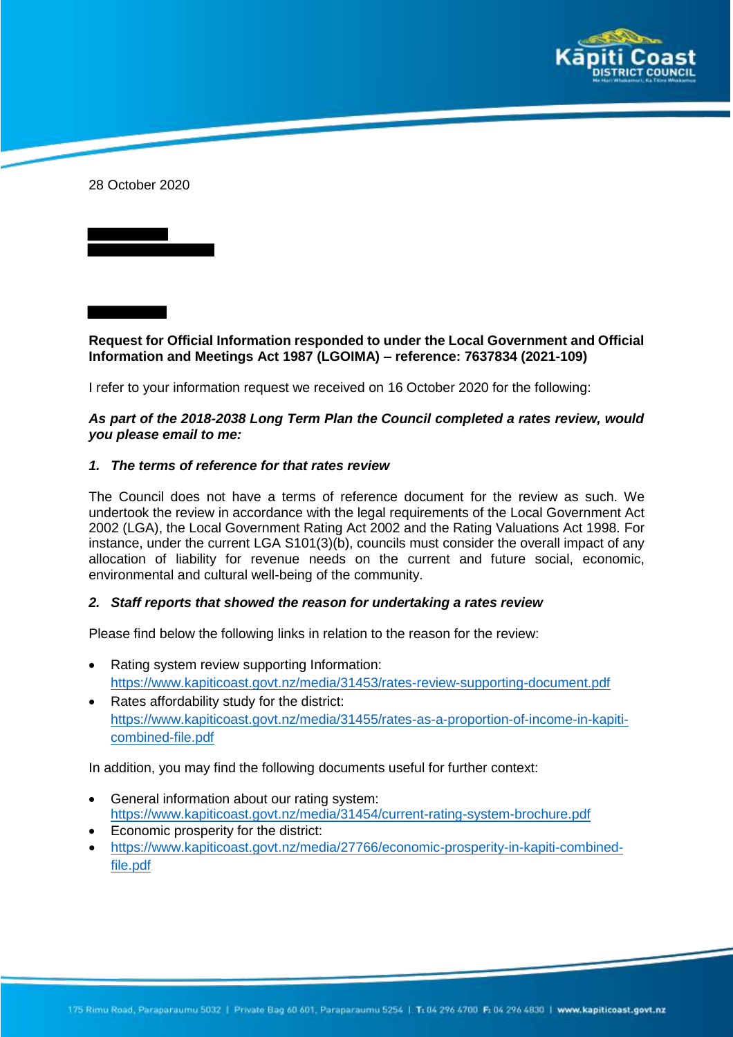

28 October 2020

**Request for Official Information responded to under the Local Government and Official Information and Meetings Act 1987 (LGOIMA) – reference: 7637834 (2021-109)**

I refer to your information request we received on 16 October 2020 for the following:

## *As part of the 2018-2038 Long Term Plan the Council completed a rates review, would you please email to me:*

## *1. The terms of reference for that rates review*

The Council does not have a terms of reference document for the review as such. We undertook the review in accordance with the legal requirements of the Local Government Act 2002 (LGA), the Local Government Rating Act 2002 and the Rating Valuations Act 1998. For instance, under the current LGA S101(3)(b), councils must consider the overall impact of any allocation of liability for revenue needs on the current and future social, economic, environmental and cultural well-being of the community.

## *2. Staff reports that showed the reason for undertaking a rates review*

Please find below the following links in relation to the reason for the review:

- Rating system review supporting Information: https://www.kapiticoast.govt.nz/media/31453/rates-review-supporting-document.pdf
- Rates affordability study for the district: https://www.kapiticoast.govt.nz/media/31455/rates-as-a-proportion-of-income-in-kapiticombined-file.pdf

In addition, you may find the following documents useful for further context:

- General information about our rating system: https://www.kapiticoast.govt.nz/media/31454/current-rating-system-brochure.pdf
- Economic prosperity for the district:
- https://www.kapiticoast.govt.nz/media/27766/economic-prosperity-in-kapiti-combinedfile.pdf